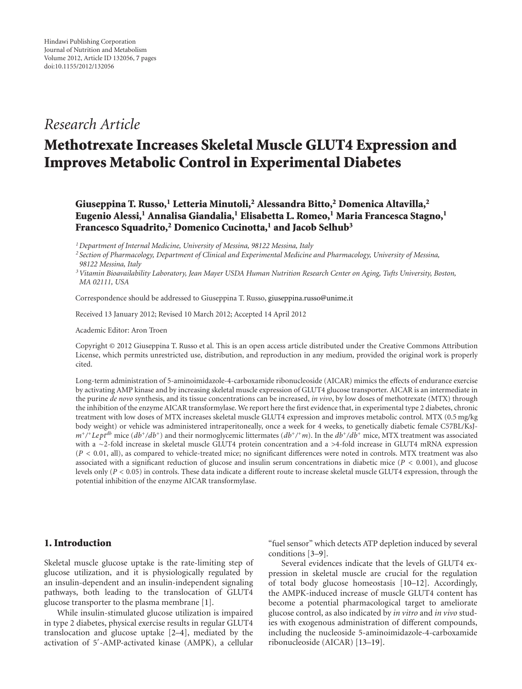## *Research Article*

# **Methotrexate Increases Skeletal Muscle GLUT4 Expression and Improves Metabolic Control in Experimental Diabetes**

**Giuseppina T. Russo,1 Letteria Minutoli,2 Alessandra Bitto,2 Domenica Altavilla,2 Eugenio Alessi,<sup>1</sup> Annalisa Giandalia,<sup>1</sup> Elisabetta L. Romeo,<sup>1</sup> Maria Francesca Stagno,<sup>1</sup> Francesco Squadrito,2 Domenico Cucinotta,1 and Jacob Selhub3**

*1Department of Internal Medicine, University of Messina, 98122 Messina, Italy*

*<sup>2</sup> Section of Pharmacology, Department of Clinical and Experimental Medicine and Pharmacology, University of Messina, 98122 Messina, Italy*

*3Vitamin Bioavailability Laboratory, Jean Mayer USDA Human Nutrition Research Center on Aging, Tufts University, Boston, MA 02111, USA*

Correspondence should be addressed to Giuseppina T. Russo, [giuseppina.russo@unime.it](mailto:giuseppina.russo@unime.it)

Received 13 January 2012; Revised 10 March 2012; Accepted 14 April 2012

Academic Editor: Aron Troen

Copyright © 2012 Giuseppina T. Russo et al. This is an open access article distributed under the Creative Commons Attribution License, which permits unrestricted use, distribution, and reproduction in any medium, provided the original work is properly cited.

Long-term administration of 5-aminoimidazole-4-carboxamide ribonucleoside (AICAR) mimics the effects of endurance exercise by activating AMP kinase and by increasing skeletal muscle expression of GLUT4 glucose transporter. AICAR is an intermediate in the purine *de novo* synthesis, and its tissue concentrations can be increased, *in vivo*, by low doses of methotrexate (MTX) through the inhibition of the enzyme AICAR transformylase. We report here the first evidence that, in experimental type 2 diabetes, chronic treatment with low doses of MTX increases skeletal muscle GLUT4 expression and improves metabolic control. MTX (0.5 mg/kg body weight) or vehicle was administered intraperitoneally, once a week for 4 weeks, to genetically diabetic female C57BL/KsJ $m^+$ /<sup>+</sup>Lept<sup>db</sup> mice ( $db^+$ / $db^+$ ) and their normoglycemic littermates ( $db^+$ /<sup>+</sup>*m*). In the  $db^+$ / $db^+$  mice, MTX treatment was associated with a <sup>∼</sup>2-fold increase in skeletal muscle GLUT4 protein concentration and a *<sup>&</sup>gt;*4-fold increase in GLUT4 mRNA expression (*P <* 0*.*01, all), as compared to vehicle-treated mice; no significant differences were noted in controls. MTX treatment was also associated with a significant reduction of glucose and insulin serum concentrations in diabetic mice (*P <* 0*.*001), and glucose levels only (*P <* 0*.*05) in controls. These data indicate a different route to increase skeletal muscle GLUT4 expression, through the potential inhibition of the enzyme AICAR transformylase.

### **1. Introduction**

Skeletal muscle glucose uptake is the rate-limiting step of glucose utilization, and it is physiologically regulated by an insulin-dependent and an insulin-independent signaling pathways, both leading to the translocation of GLUT4 glucose transporter to the plasma membrane [\[1\]](#page-4-1).

While insulin-stimulated glucose utilization is impaired in type 2 diabetes, physical exercise results in regular GLUT4 translocation and glucose uptake [\[2](#page-4-2)[–4\]](#page-4-3), mediated by the activation of 5 -AMP-activated kinase (AMPK), a cellular

"fuel sensor" which detects ATP depletion induced by several conditions [\[3](#page-4-4)[–9\]](#page-5-0).

Several evidences indicate that the levels of GLUT4 expression in skeletal muscle are crucial for the regulation of total body glucose homeostasis [\[10](#page-5-1)[–12\]](#page-5-2). Accordingly, the AMPK-induced increase of muscle GLUT4 content has become a potential pharmacological target to ameliorate glucose control, as also indicated by *in vitro* and *in vivo* studies with exogenous administration of different compounds, including the nucleoside 5-aminoimidazole-4-carboxamide ribonucleoside (AICAR) [\[13](#page-5-3)[–19](#page-5-4)].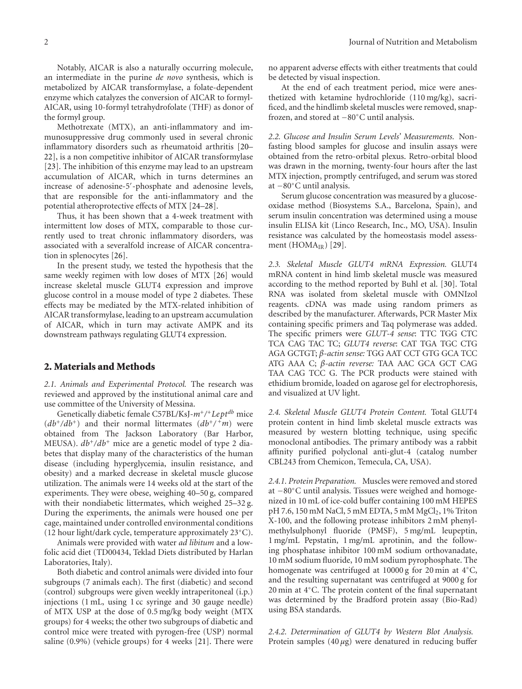Notably, AICAR is also a naturally occurring molecule, an intermediate in the purine *de novo* synthesis, which is metabolized by AICAR transformylase, a folate-dependent enzyme which catalyzes the conversion of AICAR to formyl-AICAR, using 10-formyl tetrahydrofolate (THF) as donor of the formyl group.

Methotrexate (MTX), an anti-inflammatory and immunosuppressive drug commonly used in several chronic inflammatory disorders such as rheumatoid arthritis [\[20–](#page-5-5) [22](#page-5-6)], is a non competitive inhibitor of AICAR transformylase [\[23](#page-5-7)]. The inhibition of this enzyme may lead to an upstream accumulation of AICAR, which in turns determines an increase of adenosine-5 -phosphate and adenosine levels, that are responsible for the anti-inflammatory and the potential atheroprotective effects of MTX [\[24](#page-5-8)[–28](#page-5-9)].

Thus, it has been shown that a 4-week treatment with intermittent low doses of MTX, comparable to those currently used to treat chronic inflammatory disorders, was associated with a severalfold increase of AICAR concentration in splenocytes [\[26\]](#page-5-10).

In the present study, we tested the hypothesis that the same weekly regimen with low doses of MTX [\[26](#page-5-10)] would increase skeletal muscle GLUT4 expression and improve glucose control in a mouse model of type 2 diabetes. These effects may be mediated by the MTX-related inhibition of AICAR transformylase, leading to an upstream accumulation of AICAR, which in turn may activate AMPK and its downstream pathways regulating GLUT4 expression.

#### **2. Materials and Methods**

*2.1. Animals and Experimental Protocol.* The research was reviewed and approved by the institutional animal care and use committee of the University of Messina.

Genetically diabetic female C57BL/KsJ-*m*+*/*+*Leptdb* mice  $(db^{+}/db^{+})$  and their normal littermates  $(db^{+}/^+m)$  were obtained from The Jackson Laboratory (Bar Harbor, MEUSA).  $db^{+}/db^{+}$  mice are a genetic model of type 2 diabetes that display many of the characteristics of the human disease (including hyperglycemia, insulin resistance, and obesity) and a marked decrease in skeletal muscle glucose utilization. The animals were 14 weeks old at the start of the experiments. They were obese, weighing 40–50 g, compared with their nondiabetic littermates, which weighed 25–32 g. During the experiments, the animals were housed one per cage, maintained under controlled environmental conditions (12 hour light/dark cycle, temperature approximately 23◦C).

Animals were provided with water *ad libitum* and a lowfolic acid diet (TD00434, Teklad Diets distributed by Harlan Laboratories, Italy).

Both diabetic and control animals were divided into four subgroups (7 animals each). The first (diabetic) and second (control) subgroups were given weekly intraperitoneal (i.p.) injections (1 mL, using 1 cc syringe and 30 gauge needle) of MTX USP at the dose of 0.5 mg/kg body weight (MTX groups) for 4 weeks; the other two subgroups of diabetic and control mice were treated with pyrogen-free (USP) normal saline (0.9%) (vehicle groups) for 4 weeks [\[21](#page-5-11)]. There were

no apparent adverse effects with either treatments that could be detected by visual inspection.

At the end of each treatment period, mice were anesthetized with ketamine hydrochloride (110 mg/kg), sacrificed, and the hindlimb skeletal muscles were removed, snapfrozen, and stored at −80◦C until analysis.

*2.2. Glucose and Insulin Serum Levels' Measurements.* Nonfasting blood samples for glucose and insulin assays were obtained from the retro-orbital plexus. Retro-orbital blood was drawn in the morning, twenty-four hours after the last MTX injection, promptly centrifuged, and serum was stored at −80◦C until analysis.

Serum glucose concentration was measured by a glucoseoxidase method (Biosystems S.A., Barcelona, Spain), and serum insulin concentration was determined using a mouse insulin ELISA kit (Linco Research, Inc., MO, USA). Insulin resistance was calculated by the homeostasis model assessment  $(HOMA_{IR})$  [\[29](#page-5-12)].

*2.3. Skeletal Muscle GLUT4 mRNA Expression.* GLUT4 mRNA content in hind limb skeletal muscle was measured according to the method reported by Buhl et al. [\[30\]](#page-5-13). Total RNA was isolated from skeletal muscle with OMNIzol reagents. cDNA was made using random primers as described by the manufacturer. Afterwards, PCR Master Mix containing specific primers and Taq polymerase was added. The specific primers were *GLUT-4 sense*: TTC TGG CTC TCA CAG TAC TC; *GLUT4 reverse*: CAT TGA TGC CTG AGA GCTGT; *β-actin sense:* TGG AAT CCT GTG GCA TCC ATG AAA C; *β-actin reverse:* TAA AAC GCA GCT CAG TAA CAG TCC G. The PCR products were stained with ethidium bromide, loaded on agarose gel for electrophoresis, and visualized at UV light.

*2.4. Skeletal Muscle GLUT4 Protein Content.* Total GLUT4 protein content in hind limb skeletal muscle extracts was measured by western blotting technique, using specific monoclonal antibodies. The primary antibody was a rabbit affinity purified polyclonal anti-glut-4 (catalog number CBL243 from Chemicon, Temecula, CA, USA).

*2.4.1. Protein Preparation.* Muscles were removed and stored at −80◦C until analysis. Tissues were weighed and homogenized in 10 mL of ice-cold buffer containing 100 mM HEPES pH 7.6, 150 mM NaCl, 5 mM EDTA, 5 mM  $MgCl<sub>2</sub>$ , 1% Triton X-100, and the following protease inhibitors 2 mM phenylmethylsulphonyl fluoride (PMSF), 5 mg/mL leupeptin, 1 mg/mL Pepstatin, 1 mg/mL aprotinin, and the following phosphatase inhibitor 100 mM sodium orthovanadate, 10 mM sodium fluoride, 10 mM sodium pyrophosphate. The homogenate was centrifuged at 10000 g for 20 min at 4◦C, and the resulting supernatant was centrifuged at 9000 g for 20 min at 4◦C. The protein content of the final supernatant was determined by the Bradford protein assay (Bio-Rad) using BSA standards.

*2.4.2. Determination of GLUT4 by Western Blot Analysis.* Protein samples (40 *μ*g) were denatured in reducing buffer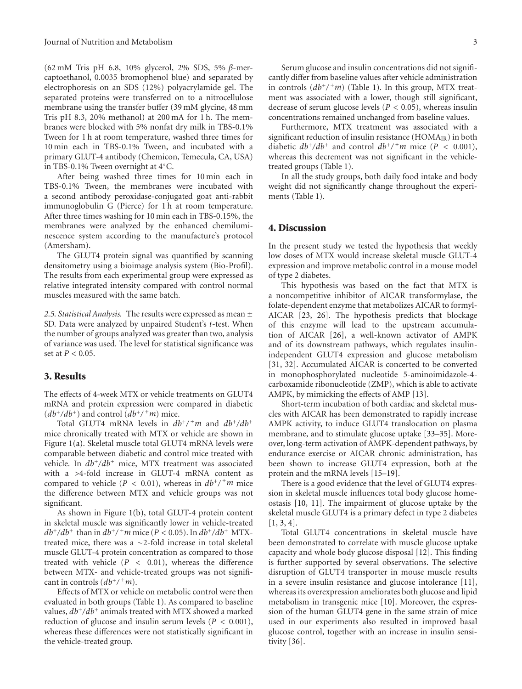(62 mM Tris pH 6.8, 10% glycerol, 2% SDS, 5% *β*-mercaptoethanol, 0.0035 bromophenol blue) and separated by electrophoresis on an SDS (12%) polyacrylamide gel. The separated proteins were transferred on to a nitrocellulose membrane using the transfer buffer (39 mM glycine, 48 mm Tris pH 8.3, 20% methanol) at 200 mA for 1 h. The membranes were blocked with 5% nonfat dry milk in TBS-0.1% Tween for 1 h at room temperature, washed three times for 10 min each in TBS-0.1% Tween, and incubated with a primary GLUT-4 antibody (Chemicon, Temecula, CA, USA) in TBS-0.1% Tween overnight at 4◦C.

After being washed three times for 10 min each in TBS-0.1% Tween, the membranes were incubated with a second antibody peroxidase-conjugated goat anti-rabbit immunoglobulin G (Pierce) for 1 h at room temperature. After three times washing for 10 min each in TBS-0.15%, the membranes were analyzed by the enhanced chemiluminescence system according to the manufacture's protocol (Amersham).

The GLUT4 protein signal was quantified by scanning densitometry using a bioimage analysis system (Bio-Profil). The results from each experimental group were expressed as relative integrated intensity compared with control normal muscles measured with the same batch.

*2.5. Statistical Analysis.* The results were expressed as mean ± SD. Data were analyzed by unpaired Student's *t*-test. When the number of groups analyzed was greater than two, analysis of variance was used. The level for statistical significance was set at *P <* 0*.*05.

#### **3. Results**

The effects of 4-week MTX or vehicle treatments on GLUT4 mRNA and protein expression were compared in diabetic  $(db^{+}/db^{+})$  and control  $(db^{+}/^{+}m)$  mice.

Total GLUT4 mRNA levels in  $db^{+}/^+m$  and  $db^{+}/db^{+}$ mice chronically treated with MTX or vehicle are shown in Figure [1\(a\).](#page-3-0) Skeletal muscle total GLUT4 mRNA levels were comparable between diabetic and control mice treated with vehicle. In *db*+*/db*<sup>+</sup> mice, MTX treatment was associated with a *>*4-fold increase in GLUT-4 mRNA content as compared to vehicle ( $P < 0.01$ ), whereas in  $db^{+}/^+m$  mice the difference between MTX and vehicle groups was not significant.

As shown in Figure [1\(b\),](#page-3-1) total GLUT-4 protein content in skeletal muscle was significantly lower in vehicle-treated  $db^{+}/db^{+}$  than in  $db^{+}/^+m$  mice (*P* < 0.05). In  $db^{+}/db^{+}$  MTXtreated mice, there was a ∼2-fold increase in total skeletal muscle GLUT-4 protein concentration as compared to those treated with vehicle (*P <* 0*.*01), whereas the difference between MTX- and vehicle-treated groups was not significant in controls  $(db^+ / {}^+m)$ .

Effects of MTX or vehicle on metabolic control were then evaluated in both groups (Table [1\)](#page-3-2). As compared to baseline values, *db*+*/db*<sup>+</sup> animals treated with MTX showed a marked reduction of glucose and insulin serum levels (*P <* 0*.*001), whereas these differences were not statistically significant in the vehicle-treated group.

Serum glucose and insulin concentrations did not significantly differ from baseline values after vehicle administration in controls  $(db^{+}/^+m)$  (Table [1\)](#page-3-2). In this group, MTX treatment was associated with a lower, though still significant, decrease of serum glucose levels (*P <* 0*.*05), whereas insulin concentrations remained unchanged from baseline values.

Furthermore, MTX treatment was associated with a significant reduction of insulin resistance  $(HOMA_{IR})$  in both diabetic  $db^{+}/db^{+}$  and control  $db^{+}/^+m$  mice ( $P < 0.001$ ), whereas this decrement was not significant in the vehicletreated groups (Table [1\)](#page-3-2).

In all the study groups, both daily food intake and body weight did not significantly change throughout the experiments (Table [1\)](#page-3-2).

#### **4. Discussion**

In the present study we tested the hypothesis that weekly low doses of MTX would increase skeletal muscle GLUT-4 expression and improve metabolic control in a mouse model of type 2 diabetes.

This hypothesis was based on the fact that MTX is a noncompetitive inhibitor of AICAR transformylase, the folate-dependent enzyme that metabolizes AICAR to formyl-AICAR [\[23,](#page-5-7) [26](#page-5-10)]. The hypothesis predicts that blockage of this enzyme will lead to the upstream accumulation of AICAR [\[26](#page-5-10)], a well-known activator of AMPK and of its downstream pathways, which regulates insulinindependent GLUT4 expression and glucose metabolism [\[31,](#page-5-14) [32](#page-5-15)]. Accumulated AICAR is concerted to be converted in monophosphorylated nucleotide 5-aminoimidazole-4 carboxamide ribonucleotide (ZMP), which is able to activate AMPK, by mimicking the effects of AMP [\[13](#page-5-3)].

Short-term incubation of both cardiac and skeletal muscles with AICAR has been demonstrated to rapidly increase AMPK activity, to induce GLUT4 translocation on plasma membrane, and to stimulate glucose uptake [\[33](#page-5-16)[–35\]](#page-5-17). Moreover, long-term activation of AMPK-dependent pathways, by endurance exercise or AICAR chronic administration, has been shown to increase GLUT4 expression, both at the protein and the mRNA levels [\[15](#page-5-18)[–19](#page-5-4)].

There is a good evidence that the level of GLUT4 expression in skeletal muscle influences total body glucose homeostasis [\[10](#page-5-1), [11](#page-5-19)]. The impairment of glucose uptake by the skeletal muscle GLUT4 is a primary defect in type 2 diabetes  $[1, 3, 4]$  $[1, 3, 4]$  $[1, 3, 4]$  $[1, 3, 4]$  $[1, 3, 4]$  $[1, 3, 4]$ .

Total GLUT4 concentrations in skeletal muscle have been demonstrated to correlate with muscle glucose uptake capacity and whole body glucose disposal [\[12](#page-5-2)]. This finding is further supported by several observations. The selective disruption of GLUT4 transporter in mouse muscle results in a severe insulin resistance and glucose intolerance [\[11\]](#page-5-19), whereas its overexpression ameliorates both glucose and lipid metabolism in transgenic mice [\[10\]](#page-5-1). Moreover, the expression of the human GLUT4 gene in the same strain of mice used in our experiments also resulted in improved basal glucose control, together with an increase in insulin sensitivity [\[36\]](#page-5-20).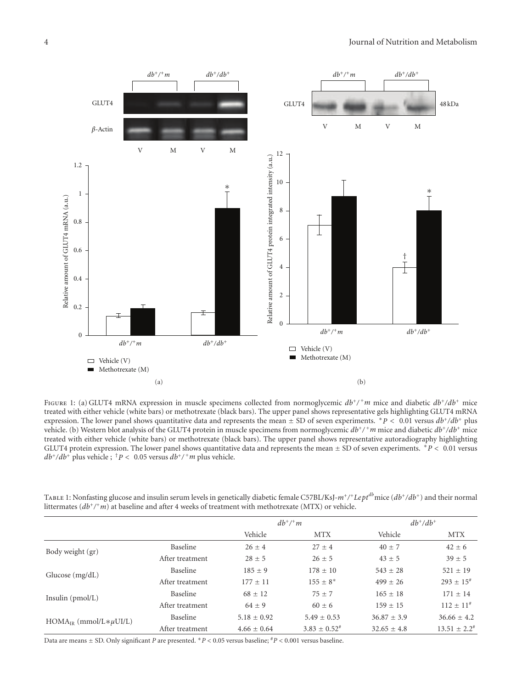<span id="page-3-1"></span><span id="page-3-0"></span>

Figure 1: (a) GLUT4 mRNA expression in muscle specimens collected from normoglycemic *db*+*/* <sup>+</sup>*m* mice and diabetic *db*+*/db*<sup>+</sup> mice treated with either vehicle (white bars) or methotrexate (black bars). The upper panel shows representative gels highlighting GLUT4 mRNA expression. The lower panel shows quantitative data and represents the mean <sup>±</sup> SD of seven experiments. <sup>∗</sup>*<sup>P</sup> <sup>&</sup>lt;* <sup>0</sup>*.*01 versus *db*+*/db*<sup>+</sup> plus vehicle. (b) Western blot analysis of the GLUT4 protein in muscle specimens from normoglycemic *db*+*/* <sup>+</sup>*m* mice and diabetic *db*+*/db*<sup>+</sup> mice treated with either vehicle (white bars) or methotrexate (black bars). The upper panel shows representative autoradiography highlighting GLUT4 protein expression. The lower panel shows quantitative data and represents the mean <sup>±</sup> SD of seven experiments. <sup>∗</sup>*<sup>P</sup> <sup>&</sup>lt;* <sup>0</sup>*.*01 versus  $db^{+}/db^{+}$  plus vehicle ; <sup>†</sup>*P* < 0.05 versus  $db^{+}/^+m$  plus vehicle.

<span id="page-3-2"></span>

| TABLE 1: Nonfasting glucose and insulin serum levels in genetically diabetic female C57BL/KsJ- $m^+/$ +Lept <sup>db</sup> mice ( $db^+/db^+$ ) and their normal |
|-----------------------------------------------------------------------------------------------------------------------------------------------------------------|
| littermates $(db^{+}/^{\dagger}m)$ at baseline and after 4 weeks of treatment with methotrexate (MTX) or vehicle.                                               |

|                                  |                 | $db^{+}/^+m$    |                   | $db^+/db^+$     |                      |
|----------------------------------|-----------------|-----------------|-------------------|-----------------|----------------------|
|                                  |                 | Vehicle         | <b>MTX</b>        | Vehicle         | <b>MTX</b>           |
| Body weight (gr)                 | Baseline        | $26 \pm 4$      | $27 \pm 4$        | $40 + 7$        | $42 \pm 6$           |
|                                  | After treatment | $28 \pm 5$      | $26 \pm 5$        | $43 \pm 5$      | $39 \pm 5$           |
| Glucose $(mg/dL)$                | Baseline        | $185 \pm 9$     | $178 \pm 10$      | $543 \pm 28$    | $521 \pm 19$         |
|                                  | After treatment | $177 + 11$      | $155 \pm 8^*$     | $499 + 26$      | $293 \pm 15^{*}$     |
| Insulin $(pmol/L)$               | Baseline        | $68 \pm 12$     | $75 + 7$          | $165 \pm 18$    | $171 \pm 14$         |
|                                  | After treatment | $64 \pm 9$      | $60 \pm 6$        | $159 + 15$      | $112 \pm 11^{\#}$    |
| $HOMA_{IR}$ (mmol/L $*\mu$ UI/L) | Baseline        | $5.18 \pm 0.92$ | $5.49 \pm 0.53$   | $36.87 \pm 3.9$ | $36.66 \pm 4.2$      |
|                                  | After treatment | $4.66 \pm 0.64$ | $3.83 \pm 0.52^*$ | $32.65 \pm 4.8$ | $13.51 \pm 2.2^{\#}$ |

Data are means <sup>±</sup> SD. Only significant *<sup>P</sup>* are presented. <sup>∗</sup>*<sup>P</sup> <sup>&</sup>lt;* 0.05 versus baseline; #*<sup>P</sup> <sup>&</sup>lt;* 0.001 versus baseline.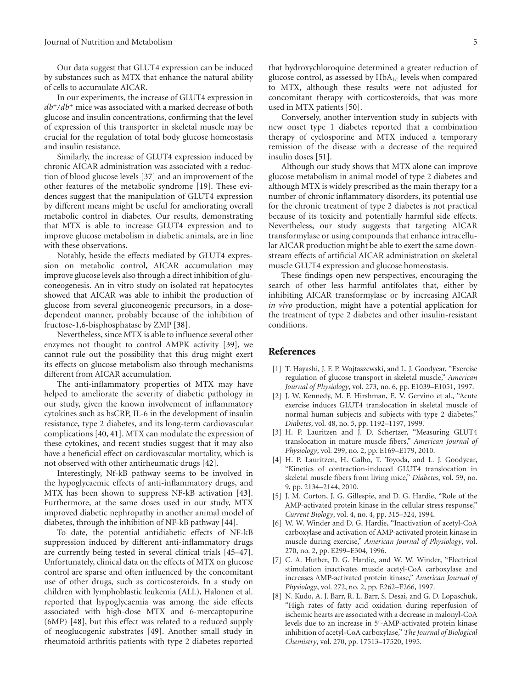Our data suggest that GLUT4 expression can be induced by substances such as MTX that enhance the natural ability of cells to accumulate AICAR.

In our experiments, the increase of GLUT4 expression in *db*+*/db*<sup>+</sup> mice was associated with a marked decrease of both glucose and insulin concentrations, confirming that the level of expression of this transporter in skeletal muscle may be crucial for the regulation of total body glucose homeostasis and insulin resistance.

Similarly, the increase of GLUT4 expression induced by chronic AICAR administration was associated with a reduction of blood glucose levels [\[37](#page-6-0)] and an improvement of the other features of the metabolic syndrome [\[19\]](#page-5-4). These evidences suggest that the manipulation of GLUT4 expression by different means might be useful for ameliorating overall metabolic control in diabetes. Our results, demonstrating that MTX is able to increase GLUT4 expression and to improve glucose metabolism in diabetic animals, are in line with these observations.

Notably, beside the effects mediated by GLUT4 expression on metabolic control, AICAR accumulation may improve glucose levels also through a direct inhibition of gluconeogenesis. An in vitro study on isolated rat hepatocytes showed that AICAR was able to inhibit the production of glucose from several gluconeogenic precursors, in a dosedependent manner, probably because of the inhibition of fructose-1,6-bisphosphatase by ZMP [\[38\]](#page-6-1).

Nevertheless, since MTX is able to influence several other enzymes not thought to control AMPK activity [\[39](#page-6-2)], we cannot rule out the possibility that this drug might exert its effects on glucose metabolism also through mechanisms different from AICAR accumulation.

The anti-inflammatory properties of MTX may have helped to ameliorate the severity of diabetic pathology in our study, given the known involvement of inflammatory cytokines such as hsCRP, IL-6 in the development of insulin resistance, type 2 diabetes, and its long-term cardiovascular complications [\[40](#page-6-3), [41](#page-6-4)]. MTX can modulate the expression of these cytokines, and recent studies suggest that it may also have a beneficial effect on cardiovascular mortality, which is not observed with other antirheumatic drugs [\[42](#page-6-5)].

Interestingly, Nf-kB pathway seems to be involved in the hypoglycaemic effects of anti-inflammatory drugs, and MTX has been shown to suppress NF-kB activation [\[43\]](#page-6-6). Furthermore, at the same doses used in our study, MTX improved diabetic nephropathy in another animal model of diabetes, through the inhibition of NF-kB pathway [\[44\]](#page-6-7).

To date, the potential antidiabetic effects of NF-kB suppression induced by different anti-inflammatory drugs are currently being tested in several clinical trials [\[45](#page-6-8)[–47\]](#page-6-9). Unfortunately, clinical data on the effects of MTX on glucose control are sparse and often influenced by the concomitant use of other drugs, such as corticosteroids. In a study on children with lymphoblastic leukemia (ALL), Halonen et al. reported that hypoglycaemia was among the side effects associated with high-dose MTX and 6-mercaptopurine (6MP) [\[48\]](#page-6-10), but this effect was related to a reduced supply of neoglucogenic substrates [\[49\]](#page-6-11). Another small study in rheumatoid arthritis patients with type 2 diabetes reported

that hydroxychloroquine determined a greater reduction of glucose control, as assessed by  $HbA_{1c}$  levels when compared to MTX, although these results were not adjusted for concomitant therapy with corticosteroids, that was more used in MTX patients [\[50\]](#page-6-12).

Conversely, another intervention study in subjects with new onset type 1 diabetes reported that a combination therapy of cyclosporine and MTX induced a temporary remission of the disease with a decrease of the required insulin doses [\[51\]](#page-6-13).

Although our study shows that MTX alone can improve glucose metabolism in animal model of type 2 diabetes and although MTX is widely prescribed as the main therapy for a number of chronic inflammatory disorders, its potential use for the chronic treatment of type 2 diabetes is not practical because of its toxicity and potentially harmful side effects. Nevertheless, our study suggests that targeting AICAR transformylase or using compounds that enhance intracellular AICAR production might be able to exert the same downstream effects of artificial AICAR administration on skeletal muscle GLUT4 expression and glucose homeostasis.

These findings open new perspectives, encouraging the search of other less harmful antifolates that, either by inhibiting AICAR transformylase or by increasing AICAR *in vivo* production, might have a potential application for the treatment of type 2 diabetes and other insulin-resistant conditions.

#### <span id="page-4-0"></span>**References**

- <span id="page-4-1"></span>[1] T. Hayashi, J. F. P. Wojtaszewski, and L. J. Goodyear, "Exercise regulation of glucose transport in skeletal muscle," *American Journal of Physiology*, vol. 273, no. 6, pp. E1039–E1051, 1997.
- <span id="page-4-2"></span>[2] J. W. Kennedy, M. F. Hirshman, E. V. Gervino et al., "Acute exercise induces GLUT4 translocation in skeletal muscle of normal human subjects and subjects with type 2 diabetes," *Diabetes*, vol. 48, no. 5, pp. 1192–1197, 1999.
- <span id="page-4-4"></span>[3] H. P. Lauritzen and J. D. Schertzer, "Measuring GLUT4 translocation in mature muscle fibers," *American Journal of Physiology*, vol. 299, no. 2, pp. E169–E179, 2010.
- <span id="page-4-3"></span>[4] H. P. Lauritzen, H. Galbo, T. Toyoda, and L. J. Goodyear, "Kinetics of contraction-induced GLUT4 translocation in skeletal muscle fibers from living mice," *Diabetes*, vol. 59, no. 9, pp. 2134–2144, 2010.
- [5] J. M. Corton, J. G. Gillespie, and D. G. Hardie, "Role of the AMP-activated protein kinase in the cellular stress response," *Current Biology*, vol. 4, no. 4, pp. 315–324, 1994.
- [6] W. W. Winder and D. G. Hardie, "Inactivation of acetyl-CoA carboxylase and activation of AMP-activated protein kinase in muscle during exercise," *American Journal of Physiology*, vol. 270, no. 2, pp. E299–E304, 1996.
- [7] C. A. Hutber, D. G. Hardie, and W. W. Winder, "Electrical stimulation inactivates muscle acetyl-CoA carboxylase and increases AMP-activated protein kinase," *American Journal of Physiology*, vol. 272, no. 2, pp. E262–E266, 1997.
- [8] N. Kudo, A. J. Barr, R. L. Barr, S. Desai, and G. D. Lopaschuk, "High rates of fatty acid oxidation during reperfusion of ischemic hearts are associated with a decrease in malonyl-CoA levels due to an increase in 5 -AMP-activated protein kinase inhibition of acetyl-CoA carboxylase," *The Journal of Biological Chemistry*, vol. 270, pp. 17513–17520, 1995.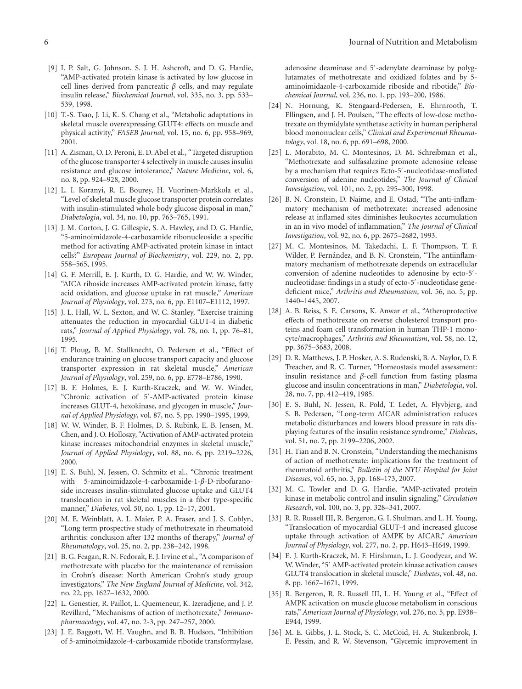- <span id="page-5-0"></span>[9] I. P. Salt, G. Johnson, S. J. H. Ashcroft, and D. G. Hardie, "AMP-activated protein kinase is activated by low glucose in cell lines derived from pancreatic *β* cells, and may regulate insulin release," *Biochemical Journal*, vol. 335, no. 3, pp. 533– 539, 1998.
- <span id="page-5-1"></span>[10] T.-S. Tsao, J. Li, K. S. Chang et al., "Metabolic adaptations in skeletal muscle overexpressing GLUT4: effects on muscle and physical activity," *FASEB Journal*, vol. 15, no. 6, pp. 958–969, 2001.
- <span id="page-5-19"></span>[11] A. Zisman, O. D. Peroni, E. D. Abel et al., "Targeted disruption of the glucose transporter 4 selectively in muscle causes insulin resistance and glucose intolerance," *Nature Medicine*, vol. 6, no. 8, pp. 924–928, 2000.
- <span id="page-5-2"></span>[12] L. I. Koranyi, R. E. Bourey, H. Vuorinen-Markkola et al., "Level of skeletal muscle glucose transporter protein correlates with insulin-stimulated whole body glucose disposal in man," *Diabetologia*, vol. 34, no. 10, pp. 763–765, 1991.
- <span id="page-5-3"></span>[13] J. M. Corton, J. G. Gillespie, S. A. Hawley, and D. G. Hardie, "5-aminoimidazole-4-carboxamide ribonucleoside: a specific method for activating AMP-activated protein kinase in intact cells?" *European Journal of Biochemistry*, vol. 229, no. 2, pp. 558–565, 1995.
- [14] G. F. Merrill, E. J. Kurth, D. G. Hardie, and W. W. Winder, "AICA riboside increases AMP-activated protein kinase, fatty acid oxidation, and glucose uptake in rat muscle," *American Journal of Physiology*, vol. 273, no. 6, pp. E1107–E1112, 1997.
- <span id="page-5-18"></span>[15] J. L. Hall, W. L. Sexton, and W. C. Stanley, "Exercise training attenuates the reduction in myocardial GLUT-4 in diabetic rats," *Journal of Applied Physiology*, vol. 78, no. 1, pp. 76–81, 1995.
- [16] T. Ploug, B. M. Stallknecht, O. Pedersen et al., "Effect of endurance training on glucose transport capacity and glucose transporter expression in rat skeletal muscle," *American Journal of Physiology*, vol. 259, no. 6, pp. E778–E786, 1990.
- [17] B. F. Holmes, E. J. Kurth-Kraczek, and W. W. Winder, "Chronic activation of 5 -AMP-activated protein kinase increases GLUT-4, hexokinase, and glycogen in muscle," *Journal of Applied Physiology*, vol. 87, no. 5, pp. 1990–1995, 1999.
- [18] W. W. Winder, B. F. Holmes, D. S. Rubink, E. B. Jensen, M. Chen, and J. O. Holloszy, "Activation of AMP-activated protein kinase increases mitochondrial enzymes in skeletal muscle," *Journal of Applied Physiology*, vol. 88, no. 6, pp. 2219–2226, 2000.
- <span id="page-5-4"></span>[19] E. S. Buhl, N. Jessen, O. Schmitz et al., "Chronic treatment with 5-aminoimidazole-4-carboxamide-1-*β*-D-ribofuranoside increases insulin-stimulated glucose uptake and GLUT4 translocation in rat skeletal muscles in a fiber type-specific manner," *Diabetes*, vol. 50, no. 1, pp. 12–17, 2001.
- <span id="page-5-5"></span>[20] M. E. Weinblatt, A. L. Maier, P. A. Fraser, and J. S. Coblyn, "Long term prospective study of methotrexate in rheumatoid arthritis: conclusion after 132 months of therapy," *Journal of Rheumatology*, vol. 25, no. 2, pp. 238–242, 1998.
- <span id="page-5-11"></span>[21] B. G. Feagan, R. N. Fedorak, E. J. Irvine et al., "A comparison of methotrexate with placebo for the maintenance of remission in Crohn's disease: North American Crohn's study group investigators," *The New England Journal of Medicine*, vol. 342, no. 22, pp. 1627–1632, 2000.
- <span id="page-5-6"></span>[22] L. Genestier, R. Paillot, L. Quemeneur, K. Izeradjene, and J. P. Revillard, "Mechanisms of action of methotrexate," *Immunopharmacology*, vol. 47, no. 2-3, pp. 247–257, 2000.
- <span id="page-5-7"></span>[23] J. E. Baggott, W. H. Vaughn, and B. B. Hudson, "Inhibition of 5-aminoimidazole-4-carboxamide ribotide transformylase,

adenosine deaminase and 5 -adenylate deaminase by polyglutamates of methotrexate and oxidized folates and by 5 aminoimidazole-4-carboxamide riboside and ribotide," *Biochemical Journal*, vol. 236, no. 1, pp. 193–200, 1986.

- <span id="page-5-8"></span>[24] N. Hornung, K. Stengaard-Pedersen, E. Ehrnrooth, T. Ellingsen, and J. H. Poulsen, "The effects of low-dose methotrexate on thymidylate synthetase activity in human peripheral blood mononuclear cells," *Clinical and Experimental Rheumatology*, vol. 18, no. 6, pp. 691–698, 2000.
- [25] L. Morabito, M. C. Montesinos, D. M. Schreibman et al., "Methotrexate and sulfasalazine promote adenosine release by a mechanism that requires Ecto-5 -nucleotidase-mediated conversion of adenine nucleotides," *The Journal of Clinical Investigation*, vol. 101, no. 2, pp. 295–300, 1998.
- <span id="page-5-10"></span>[26] B. N. Cronstein, D. Naime, and E. Ostad, "The anti-inflammatory mechanism of methotrexate: increased adenosine release at inflamed sites diminishes leukocytes accumulation in an in vivo model of inflammation," *The Journal of Clinical Investigation*, vol. 92, no. 6, pp. 2675–2682, 1993.
- [27] M. C. Montesinos, M. Takedachi, L. F. Thompson, T. F. Wilder, P. Fernández, and B. N. Cronstein, "The antiinflammatory mechanism of methotrexate depends on extracellular conversion of adenine nucleotides to adenosine by ecto-5 nucleotidase: findings in a study of ecto-5 -nucleotidase genedeficient mice," *Arthritis and Rheumatism*, vol. 56, no. 5, pp. 1440–1445, 2007.
- <span id="page-5-9"></span>[28] A. B. Reiss, S. E. Carsons, K. Anwar et al., "Atheroprotective effects of methotrexate on reverse cholesterol transport proteins and foam cell transformation in human THP-1 monocyte/macrophages," *Arthritis and Rheumatism*, vol. 58, no. 12, pp. 3675–3683, 2008.
- <span id="page-5-12"></span>[29] D. R. Matthews, J. P. Hosker, A. S. Rudenski, B. A. Naylor, D. F. Treacher, and R. C. Turner, "Homeostasis model assessment: insulin resistance and *β*-cell function from fasting plasma glucose and insulin concentrations in man," *Diabetologia*, vol. 28, no. 7, pp. 412–419, 1985.
- <span id="page-5-13"></span>[30] E. S. Buhl, N. Jessen, R. Pold, T. Ledet, A. Flyvbjerg, and S. B. Pedersen, "Long-term AICAR administration reduces metabolic disturbances and lowers blood pressure in rats displaying features of the insulin resistance syndrome," *Diabetes*, vol. 51, no. 7, pp. 2199–2206, 2002.
- <span id="page-5-14"></span>[31] H. Tian and B. N. Cronstein, "Understanding the mechanisms of action of methotrexate: implications for the treatment of rheumatoid arthritis," *Bulletin of the NYU Hospital for Joint Diseases*, vol. 65, no. 3, pp. 168–173, 2007.
- <span id="page-5-15"></span>[32] M. C. Towler and D. G. Hardie, "AMP-activated protein kinase in metabolic control and insulin signaling," *Circulation Research*, vol. 100, no. 3, pp. 328–341, 2007.
- <span id="page-5-16"></span>[33] R. R. Russell III, R. Bergeron, G. I. Shulman, and L. H. Young, "Translocation of myocardial GLUT-4 and increased glucose uptake through activation of AMPK by AICAR," *American Journal of Physiology*, vol. 277, no. 2, pp. H643–H649, 1999.
- [34] E. J. Kurth-Kraczek, M. F. Hirshman, L. J. Goodyear, and W. W. Winder, "5' AMP-activated protein kinase activation causes GLUT4 translocation in skeletal muscle," *Diabetes*, vol. 48, no. 8, pp. 1667–1671, 1999.
- <span id="page-5-17"></span>[35] R. Bergeron, R. R. Russell III, L. H. Young et al., "Effect of AMPK activation on muscle glucose metabolism in conscious rats," *American Journal of Physiology*, vol. 276, no. 5, pp. E938– E944, 1999.
- <span id="page-5-20"></span>[36] M. E. Gibbs, J. L. Stock, S. C. McCoid, H. A. Stukenbrok, J. E. Pessin, and R. W. Stevenson, "Glycemic improvement in